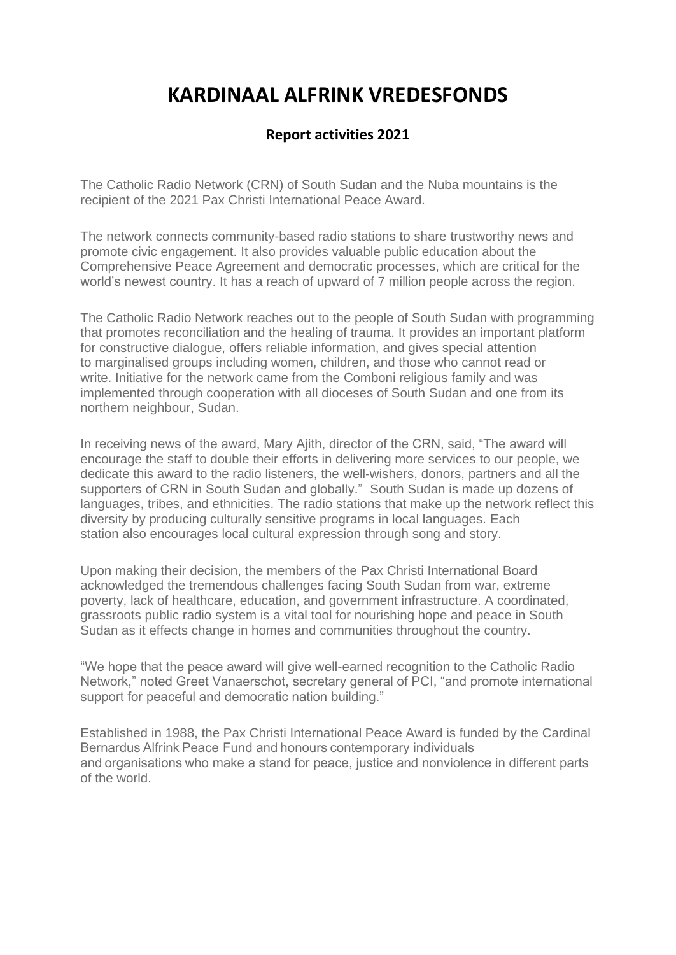## **KARDINAAL ALFRINK VREDESFONDS**

## **Report activities 2021**

The Catholic Radio Network (CRN) of South Sudan and the Nuba mountains is the recipient of the 2021 Pax Christi International Peace Award.

The network connects community-based radio stations to share trustworthy news and promote civic engagement. It also provides valuable public education about the Comprehensive Peace Agreement and democratic processes, which are critical for the world's newest country. It has a reach of upward of 7 million people across the region.

The Catholic Radio Network reaches out to the people of South Sudan with programming that promotes reconciliation and the healing of trauma. It provides an important platform for constructive dialogue, offers reliable information, and gives special attention to marginalised groups including women, children, and those who cannot read or write. Initiative for the network came from the Comboni religious family and was implemented through cooperation with all dioceses of South Sudan and one from its northern neighbour, Sudan.

In receiving news of the award, Mary Ajith, director of the CRN, said, "The award will encourage the staff to double their efforts in delivering more services to our people, we dedicate this award to the radio listeners, the well-wishers, donors, partners and all the supporters of CRN in South Sudan and globally." South Sudan is made up dozens of languages, tribes, and ethnicities. The radio stations that make up the network reflect this diversity by producing culturally sensitive programs in local languages. Each station also encourages local cultural expression through song and story.

Upon making their decision, the members of the Pax Christi International Board acknowledged the tremendous challenges facing South Sudan from war, extreme poverty, lack of healthcare, education, and government infrastructure. A coordinated, grassroots public radio system is a vital tool for nourishing hope and peace in South Sudan as it effects change in homes and communities throughout the country.

"We hope that the peace award will give well-earned recognition to the Catholic Radio Network," noted Greet Vanaerschot, secretary general of PCI, "and promote international support for peaceful and democratic nation building."

Established in 1988, the Pax Christi International Peace Award is funded by the Cardinal Bernardus Alfrink Peace Fund and honours contemporary individuals and organisations who make a stand for peace, justice and nonviolence in different parts of the world.